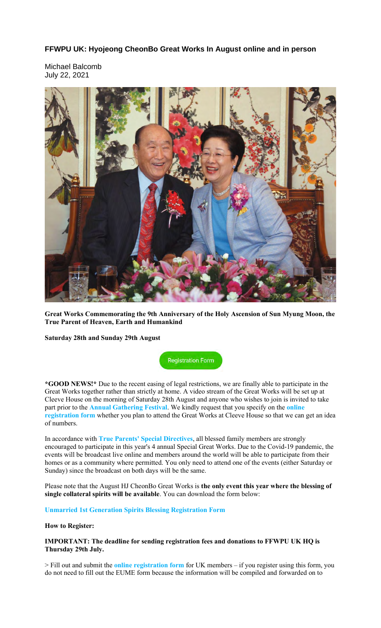## **FFWPU UK: Hyojeong CheonBo Great Works In August online and in person**

Michael Balcomb July 22, 2021



**Great Works Commemorating the 9th Anniversary of the Holy Ascension of Sun Myung Moon, the True Parent of Heaven, Earth and Humankind**

**Saturday 28th and Sunday 29th August**

**Registration Form** 

**\*GOOD NEWS!\*** Due to the recent easing of legal restrictions, we are finally able to participate in the Great Works together rather than strictly at home. A video stream of the Great Works will be set up at Cleeve House on the morning of Saturday 28th August and anyone who wishes to join is invited to take part prior to the **Annual Gathering Festival**. We kindly request that you specify on the **online registration form** whether you plan to attend the Great Works at Cleeve House so that we can get an idea of numbers.

In accordance with **True Parents' Special Directives**, all blessed family members are strongly encouraged to participate in this year's 4 annual Special Great Works. Due to the Covid-19 pandemic, the events will be broadcast live online and members around the world will be able to participate from their homes or as a community where permitted. You only need to attend one of the events (either Saturday or Sunday) since the broadcast on both days will be the same.

Please note that the August HJ CheonBo Great Works is **the only event this year where the blessing of single collateral spirits will be available**. You can download the form below:

#### **Unmarried 1st Generation Spirits Blessing Registration Form**

### **How to Register:**

#### **IMPORTANT: The deadline for sending registration fees and donations to FFWPU UK HQ is Thursday 29th July.**

> Fill out and submit the **online registration form** for UK members – if you register using this form, you do not need to fill out the EUME form because the information will be compiled and forwarded on to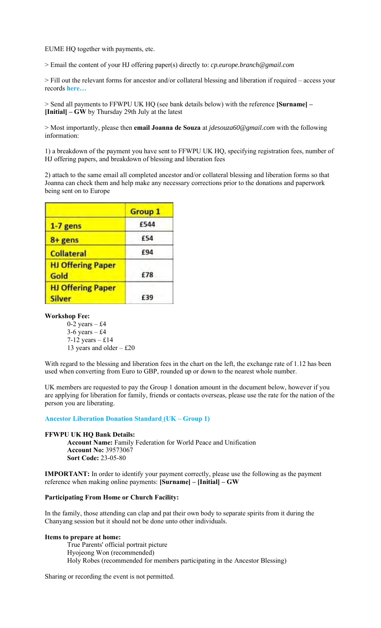EUME HQ together with payments, etc.

> Email the content of your HJ offering paper(s) directly to: *cp.europe.branch@gmail.com*

> Fill out the relevant forms for ancestor and/or collateral blessing and liberation if required – access your records **here…**

> Send all payments to FFWPU UK HQ (see bank details below) with the reference **[Surname] – [Initial] – GW** by Thursday 29th July at the latest

> Most importantly, please then **email Joanna de Souza** at *jdesouza60@gmail.com* with the following information:

1) a breakdown of the payment you have sent to FFWPU UK HQ, specifying registration fees, number of HJ offering papers, and breakdown of blessing and liberation fees

2) attach to the same email all completed ancestor and/or collateral blessing and liberation forms so that Joanna can check them and help make any necessary corrections prior to the donations and paperwork being sent on to Europe

|                                           | <b>Group 1</b> |
|-------------------------------------------|----------------|
| $1-7$ gens                                | £544           |
| 8+ gens                                   | £54            |
| <b>Collateral</b>                         | £94            |
| <b>HJ Offering Paper</b><br>Gold          | £78            |
| <b>HJ Offering Paper</b><br><b>Silver</b> | £39            |

### **Workshop Fee:**

0-2 years  $-$  £4  $3-6$  years  $-$  £4 7-12 years – £14 13 years and older – £20

With regard to the blessing and liberation fees in the chart on the left, the exchange rate of 1.12 has been used when converting from Euro to GBP, rounded up or down to the nearest whole number.

UK members are requested to pay the Group 1 donation amount in the document below, however if you are applying for liberation for family, friends or contacts overseas, please use the rate for the nation of the person you are liberating.

#### **Ancestor Liberation Donation Standard (UK – Group 1)**

#### **FFWPU UK HQ Bank Details:**

**Account Name:** Family Federation for World Peace and Unification **Account No:** 39573067 **Sort Code:** 23-05-80

**IMPORTANT:** In order to identify your payment correctly, please use the following as the payment reference when making online payments: **[Surname] – [Initial] – GW**

#### **Participating From Home or Church Facility:**

In the family, those attending can clap and pat their own body to separate spirits from it during the Chanyang session but it should not be done unto other individuals.

#### **Items to prepare at home:**

True Parents' official portrait picture Hyojeong Won (recommended) Holy Robes (recommended for members participating in the Ancestor Blessing)

Sharing or recording the event is not permitted.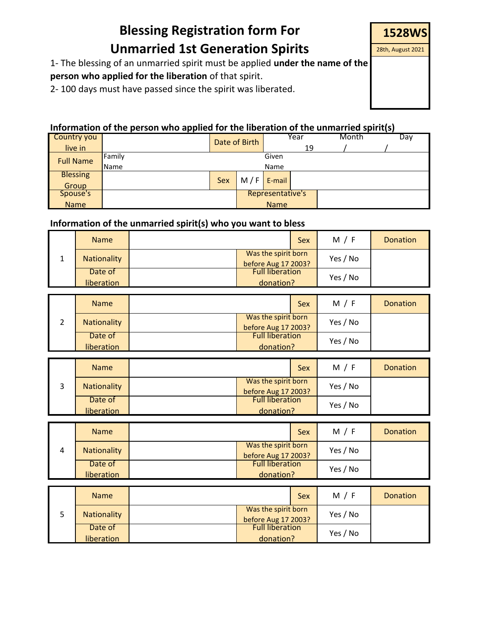# **Blessing Registration form For Unmarried 1st Generation Spirits**

1- The blessing of an unmarried spirit must be applied **under the name of the** 

**person who applied for the liberation** of that spirit.

2- 100 days must have passed since the spirit was liberated.

## **Information of the person who applied for the liberation of the unmarried spirit(s)**

| Country you      |             | Date of Birth    |     |        | Year | Month |  | Day |
|------------------|-------------|------------------|-----|--------|------|-------|--|-----|
| live in          |             |                  |     |        | 19   |       |  |     |
| <b>Full Name</b> | Family      | Given            |     |        |      |       |  |     |
|                  | <b>Name</b> | Name             |     |        |      |       |  |     |
| <b>Blessing</b>  |             |                  | M/F |        |      |       |  |     |
| Group            |             | Sex              |     | E-mail |      |       |  |     |
| Spouse's         |             | Representative's |     |        |      |       |  |     |
| <b>Name</b>      |             | <b>Name</b>      |     |        |      |       |  |     |

## **Information of the unmarried spirit(s) who you want to bless**

| <b>Name</b> |                                            | <b>Sex</b> | M / F    | <b>Donation</b> |
|-------------|--------------------------------------------|------------|----------|-----------------|
| Nationality | Was the spirit born<br>before Aug 17 2003? |            | Yes / No |                 |
| Date of     | <b>Full liberation</b>                     |            | Yes / No |                 |
| liberation  | donation?                                  |            |          |                 |

| <b>Name</b> | <b>Sex</b>                                 | M / F    | <b>Donation</b> |
|-------------|--------------------------------------------|----------|-----------------|
| Nationality | Was the spirit born<br>before Aug 17 2003? | Yes / No |                 |
| Date of     | <b>Full liberation</b>                     | Yes / No |                 |
| liberation  | donation?                                  |          |                 |

| <b>Name</b> |                                            | Sex | M/F      | <b>Donation</b> |
|-------------|--------------------------------------------|-----|----------|-----------------|
| Nationality | Was the spirit born<br>before Aug 17 2003? |     | Yes / No |                 |
| Date of     | <b>Full liberation</b>                     |     | Yes / No |                 |
| liberation  | donation?                                  |     |          |                 |

|   | <b>Name</b> |  |                                            | <b>Sex</b> | M / F    | <b>Donation</b> |
|---|-------------|--|--------------------------------------------|------------|----------|-----------------|
| 4 | Nationality |  | Was the spirit born<br>before Aug 17 2003? |            | Yes / No |                 |
|   | Date of     |  | <b>Full liberation</b>                     |            | Yes / No |                 |
|   | liberation  |  | donation?                                  |            |          |                 |

| <b>Name</b> |                                            | <b>Sex</b> | M/F      | <b>Donation</b> |
|-------------|--------------------------------------------|------------|----------|-----------------|
| Nationality | Was the spirit born<br>before Aug 17 2003? |            | Yes / No |                 |
| Date of     | <b>Full liberation</b>                     |            | Yes / No |                 |
| liberation  | donation?                                  |            |          |                 |